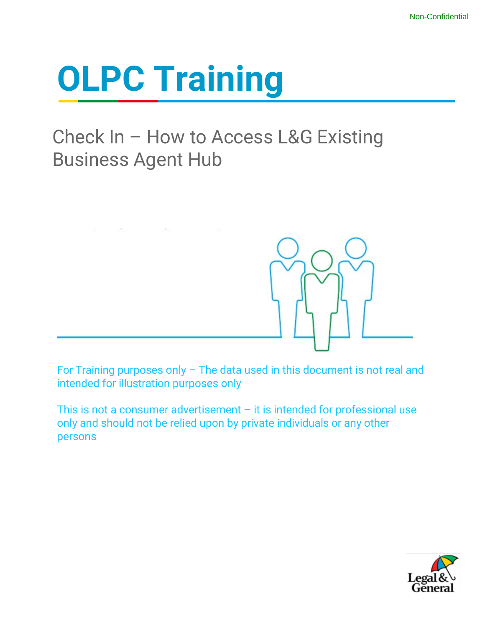# **OLPC Training**

### Check In – How to Access L&G Existing Business Agent Hub



For Training purposes only – The data used in this document is not real and intended for illustration purposes only

This is not a consumer advertisement  $-$  it is intended for professional use only and should not be relied upon by private individuals or any other persons

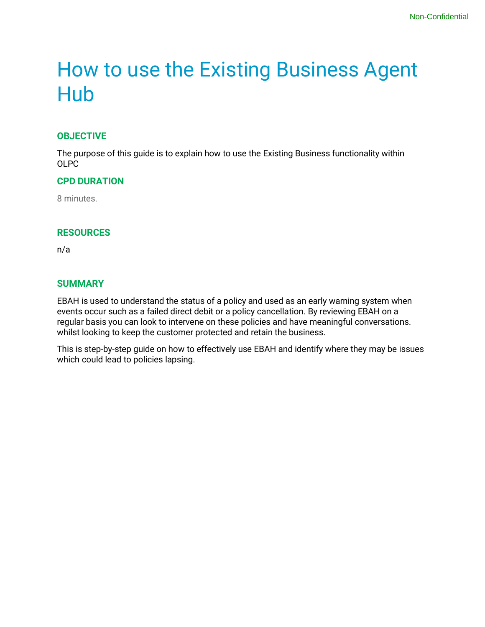### How to use the Existing Business Agent Hub

#### **OBJECTIVE**

The purpose of this guide is to explain how to use the Existing Business functionality within OLPC

#### **CPD DURATION**

8 minutes.

#### **RESOURCES**

n/a

#### **SUMMARY**

EBAH is used to understand the status of a policy and used as an early warning system when events occur such as a failed direct debit or a policy cancellation. By reviewing EBAH on a regular basis you can look to intervene on these policies and have meaningful conversations. whilst looking to keep the customer protected and retain the business.

This is step-by-step guide on how to effectively use EBAH and identify where they may be issues which could lead to policies lapsing.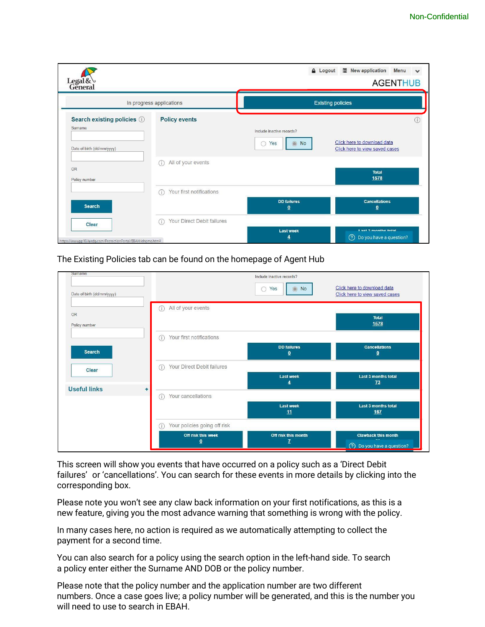| Legal&                                                                |                                  | <b>A</b> Logout                                    | New application<br>Menu<br><b>AGENTHUB</b>                    |
|-----------------------------------------------------------------------|----------------------------------|----------------------------------------------------|---------------------------------------------------------------|
|                                                                       | In progress applications         |                                                    | <b>Existing policies</b>                                      |
| Search existing policies (i)<br>Surname<br>Date of birth (dd/mm/yyyy) | <b>Policy events</b>             | Include inactive records?<br>Yes<br><b>No</b><br>0 | Click here to download data<br>Click here to view saved cases |
| <b>OR</b><br>Policy number                                            | All of your events<br>(i)        |                                                    | <b>Total</b><br>1578                                          |
| <b>Search</b>                                                         | Your first notifications<br>O    | <b>DD</b> failures<br>$\bf{0}$                     | <b>Cancellations</b><br>$\overline{\mathbf{0}}$               |
| Clear<br>https://www.pp10.landg.com/ProtectionPortal/EBAH/ehome.htm#  | Your Direct Debit failures<br>G) | <b>Last week</b><br>4                              | I set ? monthe total<br>⊘<br>Do you have a question?          |

The Existing Policies tab can be found on the homepage of Agent Hub

| Surname                    |                                   | Include inactive records?               |                                                                         |
|----------------------------|-----------------------------------|-----------------------------------------|-------------------------------------------------------------------------|
| Date of birth (dd/mm/yyyy) |                                   | Yes<br><b>No</b><br>$\circledcirc$<br>∩ | Click here to download data<br>Click here to view saved cases           |
| <b>OR</b><br>Policy number | All of your events<br>Œ           |                                         | <b>Total</b><br>1578                                                    |
|                            | Your first notifications<br>Œ     |                                         |                                                                         |
| <b>Search</b>              |                                   | <b>DD</b> failures<br>$\overline{0}$    | <b>Cancellations</b><br>$\overline{\mathbf{0}}$                         |
| Clear                      | Your Direct Debit failures<br>⋒   | <b>Last week</b>                        | Last 3 months total                                                     |
| <b>Useful links</b>        | ٠<br>Your cancellations           | ₫                                       | 73                                                                      |
|                            | (i)                               | <b>Last week</b><br>11                  | Last 3 months total<br>167                                              |
|                            | Your policies going off risk<br>⋒ |                                         |                                                                         |
|                            | Off risk this week<br>$\mathbf 0$ | Off risk this month<br>$\mathbf{Z}$     | <b>Clawback this month</b><br>$\circledcirc$<br>Do you have a question? |

This screen will show you events that have occurred on a policy such as a 'Direct Debit failures' or 'cancellations'. You can search for these events in more details by clicking into the corresponding box.

Please note you won't see any claw back information on your first notifications, as this is a new feature, giving you the most advance warning that something is wrong with the policy.

In many cases here, no action is required as we automatically attempting to collect the payment for a second time.

You can also search for a policy using the search option in the left-hand side. To search a policy enter either the Surname AND DOB or the policy number.

Please note that the policy number and the application number are two different numbers. Once a case goes live; a policy number will be generated, and this is the number you will need to use to search in EBAH.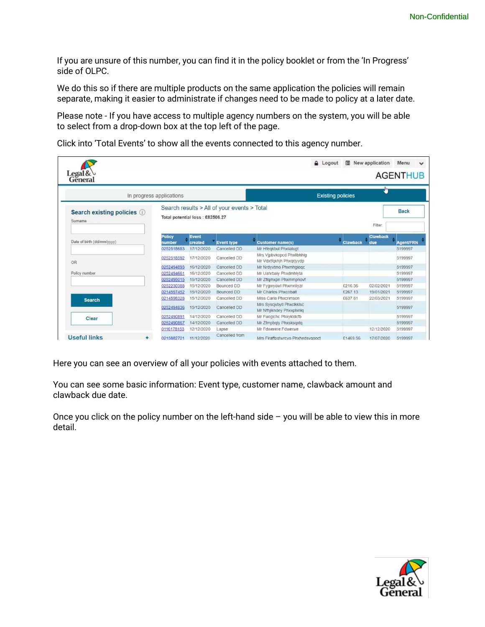If you are unsure of this number, you can find it in the policy booklet or from the 'In Progress' side of OLPC.

We do this so if there are multiple products on the same application the policies will remain separate, making it easier to administrate if changes need to be made to policy at a later date.

Please note - If you have access to multiple agency numbers on the system, you will be able to select from a drop-down box at the top left of the page.

Click into 'Total Events' to show all the events connected to this agency number.

| Legal & $\cup$<br>General               |                                 |                  |                                             |                                                       | <b>A</b> Logout          | 眉               | New application        | Menu<br>$\checkmark$<br><b>AGENTHUB</b> |
|-----------------------------------------|---------------------------------|------------------|---------------------------------------------|-------------------------------------------------------|--------------------------|-----------------|------------------------|-----------------------------------------|
|                                         | In progress applications        |                  |                                             |                                                       | <b>Existing policies</b> |                 | w                      |                                         |
| Search existing policies (i)<br>Surname | Total potential loss: £82506.27 |                  | Search results > All of your events > Total |                                                       |                          |                 | Filter:                | <b>Back</b>                             |
| Date of birth (dd/mm/yyyy)              | <b>Policy</b><br>number         | Event<br>created | <b>Event type</b>                           | <b>Customer name(s)</b>                               |                          | <b>Clawback</b> | <b>Clawback</b><br>due | <b>Agent/FRN</b>                        |
|                                         | 0252518683                      | 17/12/2020       | Cancelled DD                                | Mr Hfegkbul Phxilalugt                                |                          |                 |                        | 5199997                                 |
| OR                                      | 0252518592                      | 17/12/2020       | Cancelled DD                                | Mrs Vipbykopcd Phxllbhhla<br>Mr Vdxtfakhjh Phxarjvvdp |                          |                 |                        | 5199997                                 |
|                                         | 0252494893                      | 16/12/2020       | Cancelled DD                                | Mr Nrdyvtmo Phxmhgiegc                                |                          |                 |                        | 5199997                                 |
| Policy number                           | 0252494661                      | 16/12/2020       | Cancelled DD                                | Mr Uahrbaiv Phxdmhlyta                                |                          |                 |                        | 5199997                                 |
|                                         | 0252495015                      | 15/12/2020       | Cancelled DD                                | Mr Zflgmxpn Phxmmpnovf                                |                          |                 |                        | 5199997                                 |
|                                         | 0252230388                      | 15/12/2020       | Bounced DD                                  | Mr Fygwyowl Phxmnliyzr                                |                          | £216.36         | 02/02/2021             | 5199997                                 |
|                                         | 0214597452                      | 15/12/2020       | Bounced DD                                  | Mr Charlos Phxcobalt                                  |                          | £267.13         | 19/01/2021             | 5199997                                 |
| <b>Search</b>                           | 0214598328                      | 15/12/2020       | Cancelled DD                                | Miss Carla Phxcrimson                                 |                          | £637.81         | 22/03/2021             | 5199997                                 |
|                                         | 0252494836                      | 15/12/2020       | Cancelled DD                                | Mrs Syscjvbyll Phxclkklsc<br>Mr Nfhjikndey Phxxplxnlq |                          |                 |                        | 5199997                                 |
| Clear                                   | 0252490891                      | 14/12/2020       | Cancelled DD                                | Mr Fuoglchc Phxyktdcfb                                |                          |                 |                        | 5199997                                 |
|                                         | 0252490867                      | 14/12/2020       | Cancelled DD                                | Mr Zfmpbgly Phxsksgxtg                                |                          |                 |                        | 5199997                                 |
|                                         | 0116178153                      | 12/12/2020       | Lapse                                       | Mr Fdwerere Fdwerwe                                   |                          |                 | 12/12/2020             | 5199997                                 |
| <b>Useful links</b><br>÷                | 0215882721                      | 11/12/2020       | Cancelled from                              | Mrs Firaffpgtwrcvo Phxhedsvgooct                      |                          | £1469.56        | 17/07/2020             | 5199997                                 |

Here you can see an overview of all your policies with events attached to them.

You can see some basic information: Event type, customer name, clawback amount and clawback due date.

Once you click on the policy number on the left-hand side  $-$  you will be able to view this in more detail.

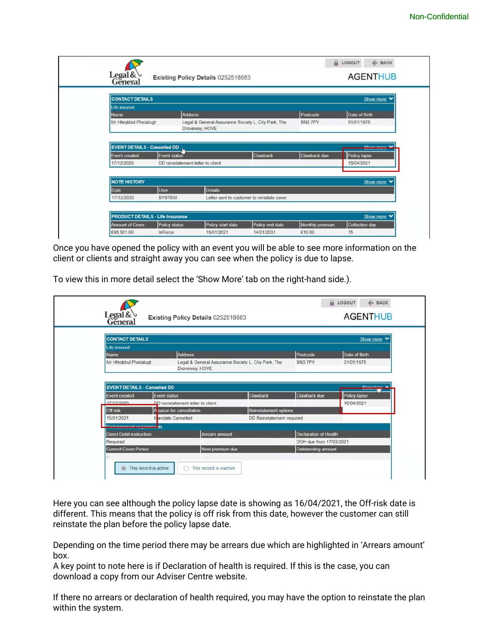|                                                      |                                         |                                                                       |                                            |                           | ← BACK<br><b>LOGOUT</b>                                 |
|------------------------------------------------------|-----------------------------------------|-----------------------------------------------------------------------|--------------------------------------------|---------------------------|---------------------------------------------------------|
| Legal&                                               |                                         | Existing Policy Details 0252518683                                    |                                            |                           | <b>AGENTHUB</b>                                         |
| <b>CONTACT DETAILS</b>                               |                                         |                                                                       |                                            |                           | Show more                                               |
| Life insured                                         |                                         |                                                                       |                                            |                           |                                                         |
| <b>Name</b>                                          | <b>Address</b>                          |                                                                       |                                            | Postcode                  | Date of Birth                                           |
| Mr Hfeqkbul Phxiialugt                               |                                         | Legal & General Assurance Society L, City Park, The<br>Droveway, HOVE |                                            | BN37PY                    | 01/01/1975                                              |
|                                                      |                                         |                                                                       |                                            |                           |                                                         |
|                                                      |                                         |                                                                       |                                            |                           | Chaurmara                                               |
| <b>EVENT DETAILS - Cancelled DD</b><br>Event created | <b>Event status</b>                     |                                                                       | Clawback                                   | Clawback due              |                                                         |
| 17/12/2020                                           | DD reinstatement letter to client       |                                                                       |                                            |                           | Policy lapse<br>16/04/2021                              |
| <b>NOTE HISTORY</b>                                  |                                         |                                                                       |                                            |                           |                                                         |
|                                                      |                                         |                                                                       |                                            |                           |                                                         |
| Date<br>17/12/2020                                   | <b>User</b><br><b>SYSTEM</b>            | <b>Details</b>                                                        | Letter sent to customer to reinstate cover |                           |                                                         |
|                                                      |                                         |                                                                       |                                            |                           |                                                         |
|                                                      | <b>PRODUCT DETAILS - Life Insurance</b> |                                                                       |                                            |                           |                                                         |
| <b>Amount of Cover</b><br>£86,501.00                 | Policy status<br>InForce                | Policy start date<br>15/01/2021                                       | Policy end date<br>14/01/2031              | Monthly premium<br>£10.00 | Show more Y<br>Show more<br><b>Collection day</b><br>15 |

Once you have opened the policy with an event you will be able to see more information on the client or clients and straight away you can see when the policy is due to lapse.

To view this in more detail select the 'Show More' tab on the right-hand side.).

| <b>CONTACT DETAILS</b>                                                                                                       |                              |
|------------------------------------------------------------------------------------------------------------------------------|------------------------------|
|                                                                                                                              | Show more                    |
| <b>Life insured</b><br><b>Address</b><br>Postcode<br><b>Name</b>                                                             | Date of Birth                |
| Mr Hfeqkbul Phxiialugt<br>Legal & General Assurance Society L. City Park, The<br>BN3 7PY<br>Droveway, HOVE                   | 01/01/1975                   |
| <b>EVENT DETAILS - Cancelled DD</b><br><b>Clawback</b><br><b>Clawback due</b><br><b>Event status</b><br><b>Event created</b> | Chour Idea A<br>Policy lapse |
| 17/12/2020<br>DD reinstatement letter to client<br>Off risk<br>Reinstatement options<br>Reason for cancellation              | 16/04/2021                   |
| 15/01/2021<br>Mandate Cancelled<br>DD Reinstatement required<br><b>Reinstatement mauirems</b> its                            |                              |
| <b>Declaration of Health</b><br><b>Direct Debit instruction</b><br><b>Arrears amount</b>                                     |                              |
| Required<br>Next premium due<br><b>Current Cover Period</b><br>Outstanding amount                                            | DOH due from 17/03/2021      |

Here you can see although the policy lapse date is showing as 16/04/2021, the Off-risk date is different. This means that the policy is off risk from this date, however the customer can still reinstate the plan before the policy lapse date.

Depending on the time period there may be arrears due which are highlighted in 'Arrears amount' box.

A key point to note here is if Declaration of health is required. If this is the case, you can download a copy from our Adviser Centre website.

If there no arrears or declaration of health required, you may have the option to reinstate the plan within the system.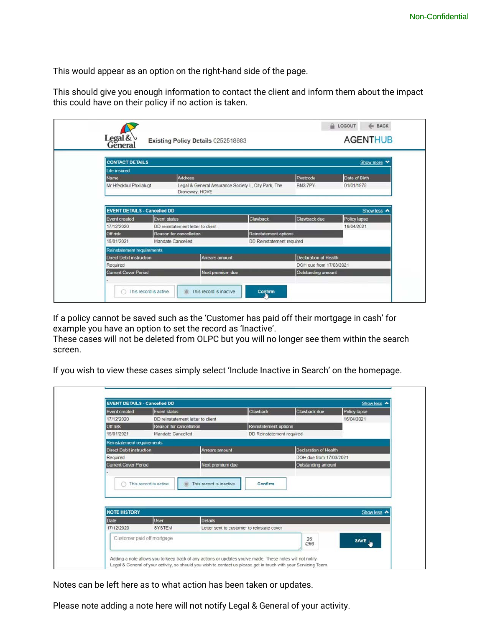This would appear as an option on the right-hand side of the page.

This should give you enough information to contact the client and inform them about the impact this could have on their policy if no action is taken.

| Legal & $\cup$<br>General           |                     | Existing Policy Details 0252518683                                    |                           |                              | <b>AGENTHUB</b> |
|-------------------------------------|---------------------|-----------------------------------------------------------------------|---------------------------|------------------------------|-----------------|
| <b>CONTACT DETAILS</b>              |                     |                                                                       |                           |                              | Show more       |
| Life insured<br>Name                |                     | <b>Address</b>                                                        |                           | Postcode                     | Date of Birth   |
| Mr Hfegkbul Phxiialugt              |                     | Legal & General Assurance Society L, City Park, The<br>Droveway, HOVE |                           | BN3 7PY                      | 01/01/1975      |
| <b>EVENT DETAILS - Cancelled DD</b> |                     |                                                                       |                           |                              | Show less <     |
| <b>Event created</b>                | <b>Event status</b> |                                                                       | <b>Clawback</b>           | Clawback due                 | Policy lapse    |
| 17/12/2020                          |                     | DD reinstatement letter to client                                     |                           |                              | 16/04/2021      |
| Off risk                            |                     | Reason for cancellation                                               | Reinstatement options     |                              |                 |
| 15/01/2021                          |                     | Mandate Cancelled                                                     | DD Reinstatement required |                              |                 |
| Reinstatement requirements          |                     |                                                                       |                           |                              |                 |
| <b>Direct Debit instruction</b>     |                     | Arrears amount                                                        |                           | <b>Declaration of Health</b> |                 |
|                                     |                     |                                                                       |                           | DOH due from 17/03/2021      |                 |
| Required                            |                     |                                                                       | Next premium due          | Outstanding amount           |                 |

If a policy cannot be saved such as the 'Customer has paid off their mortgage in cash' for example you have an option to set the record as 'Inactive'.

These cases will not be deleted from OLPC but you will no longer see them within the search screen.

If you wish to view these cases simply select 'Include Inactive in Search' on the homepage.

| <b>Event created</b>            | <b>Event status</b>               |                                             | <b>Clawback</b>           | Clawback due                 | Policy lapse |
|---------------------------------|-----------------------------------|---------------------------------------------|---------------------------|------------------------------|--------------|
| 17/12/2020                      | DD reinstatement letter to client |                                             |                           |                              | 16/04/2021   |
| Off risk                        | Reason for cancellation           |                                             | Reinstatement options     |                              |              |
| 15/01/2021                      | Mandate Cancelled                 |                                             | DD Reinstatement required |                              |              |
| Reinstatement requirements      |                                   |                                             |                           |                              |              |
| <b>Direct Debit instruction</b> |                                   | Arrears amount                              |                           | <b>Declaration of Health</b> |              |
| Required                        |                                   |                                             |                           | DOH due from 17/03/2021      |              |
|                                 |                                   |                                             |                           |                              |              |
| <b>Current Cover Penod</b>      | This record is active             | Next premium due<br>This record is inactive | Confirm                   | Outstanding amount           |              |
|                                 |                                   |                                             |                           |                              |              |
| <b>NOTE HISTORY</b>             |                                   |                                             |                           |                              | Show less <  |
| Date                            | <b>User</b>                       | <b>Details</b>                              |                           |                              |              |
| 17/12/2020                      | <b>SYSTEM</b>                     | Letter sent to customer to reinstate cover  |                           |                              |              |

Notes can be left here as to what action has been taken or updates.

Please note adding a note here will not notify Legal & General of your activity.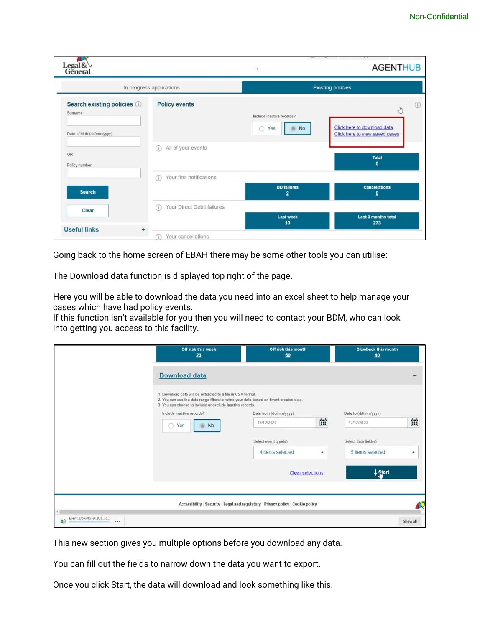| Legal&                                                             |                                                | ٠                                                  | <b>AGENTHUB</b>                                                                      |
|--------------------------------------------------------------------|------------------------------------------------|----------------------------------------------------|--------------------------------------------------------------------------------------|
|                                                                    | In progress applications                       |                                                    | <b>Existing policies</b>                                                             |
| Search existing policies 1<br>Sumame<br>Date of birth (dd/mm/yyyy) | <b>Policy events</b>                           | Include inactive records?<br>Yes<br>O<br><b>No</b> | 98<br>$\frac{1}{2}$<br>Click here to download data<br>Click here to view saved cases |
| OR<br>Policy number                                                | All of your events<br>O                        |                                                    | <b>Total</b><br>$\mathbf{0}$                                                         |
| <b>Search</b>                                                      | Your first notifications<br>Œ                  | <b>DD</b> failures<br>2                            | <b>Cancellations</b><br>$\mathbf{0}$                                                 |
| Clear<br><b>Useful links</b>                                       | Your Direct Debit failures<br>$\left(1\right)$ | <b>Last week</b><br>10                             | Last 3 months total<br>273                                                           |
|                                                                    | Your cancellations                             |                                                    |                                                                                      |

Going back to the home screen of EBAH there may be some other tools you can utilise:

The Download data function is displayed top right of the page.

Here you will be able to download the data you need into an excel sheet to help manage your cases which have had policy events.

If this function isn't available for you then you will need to contact your BDM, who can look into getting you access to this facility.

|                                   | Off risk this week<br>23                                                                                                                                                                                           | Off risk this month<br>60                                                |           | <b>Clawback this month</b><br>40 |          |
|-----------------------------------|--------------------------------------------------------------------------------------------------------------------------------------------------------------------------------------------------------------------|--------------------------------------------------------------------------|-----------|----------------------------------|----------|
|                                   | <b>Download data</b>                                                                                                                                                                                               |                                                                          |           |                                  |          |
|                                   | 1. Download data will be extracted to a file in CSV format.<br>2. You can use the date range filters to refine your data based on Event created date.<br>3. You can choose to include or exclude inactive records. |                                                                          |           |                                  |          |
|                                   | Include inactive records?                                                                                                                                                                                          | Date from (dd/mm/yyyy)                                                   |           | Date to (dd/mm/yyyy)             |          |
|                                   | Yes<br>O<br><b>No</b>                                                                                                                                                                                              | 13/12/2020                                                               | 當         | 17/12/2020                       | È.       |
|                                   |                                                                                                                                                                                                                    | Select event type(s)                                                     |           | Select data field(s)             |          |
|                                   |                                                                                                                                                                                                                    | 4 items selected                                                         | $\bullet$ | 5 items selected                 | ٠        |
|                                   |                                                                                                                                                                                                                    | <b>Clear selections</b>                                                  |           | + Start                          |          |
|                                   |                                                                                                                                                                                                                    |                                                                          |           |                                  |          |
|                                   |                                                                                                                                                                                                                    | Accessibility Security Legal and regulatory Privacy policy Cookie policy |           |                                  |          |
| Event_Download_202c<br>á.<br>7.74 |                                                                                                                                                                                                                    |                                                                          |           |                                  | Show all |

This new section gives you multiple options before you download any data.

You can fill out the fields to narrow down the data you want to export.

Once you click Start, the data will download and look something like this.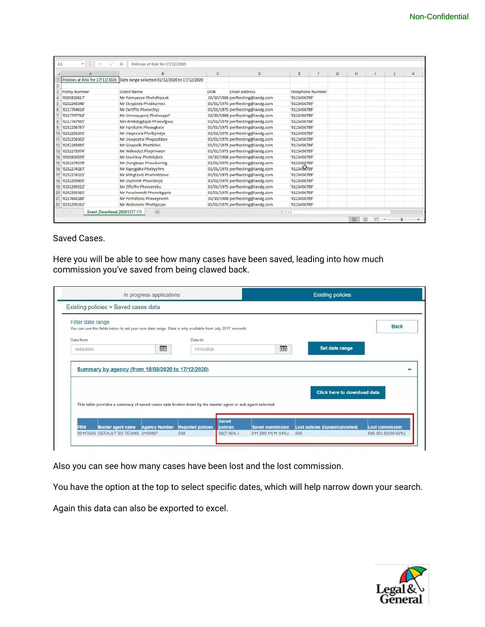|                                 |                                              | $\mathbf{C}$ | D                                | E            | F                       | G | H |  | к |
|---------------------------------|----------------------------------------------|--------------|----------------------------------|--------------|-------------------------|---|---|--|---|
| Policies at Risk for 17/12/2020 | Date range selected 01/12/2020 to 17/12/2020 |              |                                  |              |                         |   |   |  |   |
|                                 |                                              |              |                                  |              |                         |   |   |  |   |
| Policy Number                   | Client Name                                  | DOB          | <b>Email Address</b>             |              | <b>Telephone Number</b> |   |   |  |   |
| '0S05810617'                    | Mr Pomueyze Phxhdhpxuk                       |              | 10/10/1988 perftesting@landg.com | '0123456789' |                         |   |   |  |   |
| '0252243340'                    | Mr Eknpbieb Phxbkzrnex                       |              | 01/01/1975 perftesting@landg.com | '0123456789' |                         |   |   |  |   |
| '0217704618'                    | Mr Zertfftc Phxiwctivi                       |              | 01/01/1975 perftesting@landg.com | '0123456789' |                         |   |   |  |   |
| '0217747716'                    | Mr Ucmogupxnj Phxlwzyprf                     |              | 10/10/1988 perftesting@landg.com | '0123456789' |                         |   |   |  |   |
| 8 '0217747955'                  | Mrs Rmbdygbgsb Phxeufgvuc                    |              | 01/01/1979 perftesting@landg.com | '0123456788' |                         |   |   |  |   |
| 9 '0252256797'                  | Mr Farsfutm Phxxxgkxtx                       |              | 01/01/1975 perftesting@landg.com | '0123456789' |                         |   |   |  |   |
| 10 '0252256193'                 | Mr Vegevvra Phxfbjmdje                       |              | 01/01/1975 perftesting@landg.com | '0123456789' |                         |   |   |  |   |
| 11 '0252256102'                 | Mr Uswpcetw Phxpzobbcv                       |              | 01/01/1975 perftesting@landg.com | '0123456789' |                         |   |   |  |   |
| 12 '0252255955'                 | Mr Gicgoxfk Phxttkfxii                       |              | 01/01/1975 perftesting@landg.com | '0123456789' |                         |   |   |  |   |
| 13 '0252273974'                 | Mr Wdkedjct Phxjrrweon                       |              | 01/01/1975 perftesting@landg.com | '0123456789' |                         |   |   |  |   |
| 14 '0S05810559'                 | Mr Sicuhkvy Phxhikjbcb                       |              | 10/10/1988 perftesting@landg.com | '0123456789' |                         |   |   |  |   |
| 15 '0252274378'                 | Mr Owrgbsao Phxwbsinhg                       |              | 01/01/1975 perftesting@landg.com | '0123456789' |                         |   |   |  |   |
| 16 '0252274287'                 | Mr Xqwjgdkx Phxbyyfrrv                       |              | 01/01/1975 perftesting@landg.com | '0123453789' |                         |   |   |  |   |
| 17 '0252274121'                 | Mr Ghhgtzwb Phxhmbbnyc                       |              | 01/01/1975 perftesting@landg.com | '0123456789' |                         |   |   |  |   |
| 18 '0252295605'                 | Mr Usyinnrk Phxwibnjiz                       |              | 01/01/1975 perftesting@landg.com | '0123456789' |                         |   |   |  |   |
| 19 '0252295522'                 | Mr 2lftcfhr Phxycerdku                       |              | 01/01/1975 perftesting@landg.com | '0123456789' |                         |   |   |  |   |
| 20 '0252295381'                 | Mr Pwwlmmdt Phxmrbggnb                       |              | 01/01/1975 perftesting@landg.com | '0123456789' |                         |   |   |  |   |
| 21 '0217642180'                 | Mr Pcyhdtciss Phxveyrwnh                     |              | 10/10/1988 perftesting@landg.com | '0123456789' |                         |   |   |  |   |
| 22 '0252295332'                 | Mr Wxbvivmz Phxttgozpv                       |              | 01/01/1975 perftesting@landg.com | '0123456789' |                         |   |   |  |   |

#### Saved Cases.

Here you will be able to see how many cases have been saved, leading into how much commission you've saved from being clawed back.

|                   | Existing policies > Saved cases data                                                                     |   |            |       |   |                                    |             |
|-------------------|----------------------------------------------------------------------------------------------------------|---|------------|-------|---|------------------------------------|-------------|
| Filter date range | You can use the fields below to set your own date range. Data is only available from July 2017 onwards.  |   |            |       |   |                                    | <b>Back</b> |
| Date from         |                                                                                                          |   | Date to    |       |   |                                    |             |
| 18/09/2020        |                                                                                                          | 雦 | 17/12/2020 |       | Ė | Set date range                     |             |
|                   | Summary by agency (from 18/09/2020 to 17/12/2020)                                                        |   |            |       |   |                                    |             |
|                   | This table provides a summary of saved cases data broken down by the master agent or sub agent selected. |   |            | Saved |   | <b>Click here to download data</b> |             |
|                   |                                                                                                          |   |            |       |   |                                    |             |

Also you can see how many cases have been lost and the lost commission.

You have the option at the top to select specific dates, which will help narrow down your search.

Again this data can also be exported to excel.

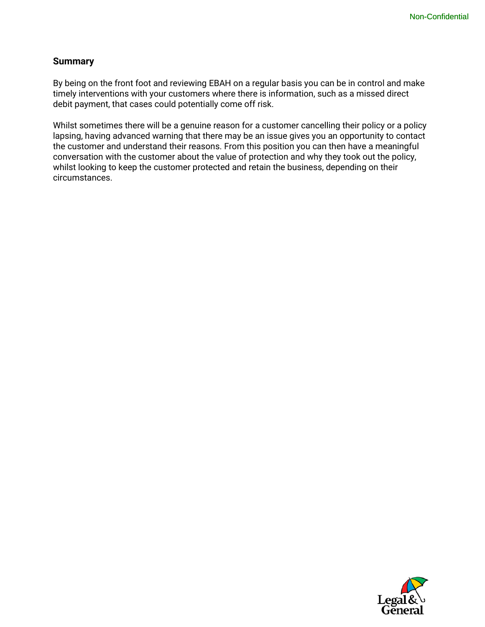#### **Summary**

By being on the front foot and reviewing EBAH on a regular basis you can be in control and make timely interventions with your customers where there is information, such as a missed direct debit payment, that cases could potentially come off risk.

Whilst sometimes there will be a genuine reason for a customer cancelling their policy or a policy lapsing, having advanced warning that there may be an issue gives you an opportunity to contact the customer and understand their reasons. From this position you can then have a meaningful conversation with the customer about the value of protection and why they took out the policy, whilst looking to keep the customer protected and retain the business, depending on their circumstances.